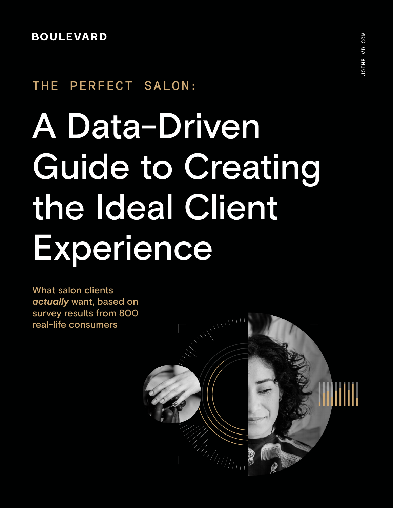# **BOULEVARD**

# THE PERFECT SALON:

# A Data-Driven Guide to Creating the Ideal Client **Experience**

What salon clients *actually* want, based on survey results from 800 real-life consumers

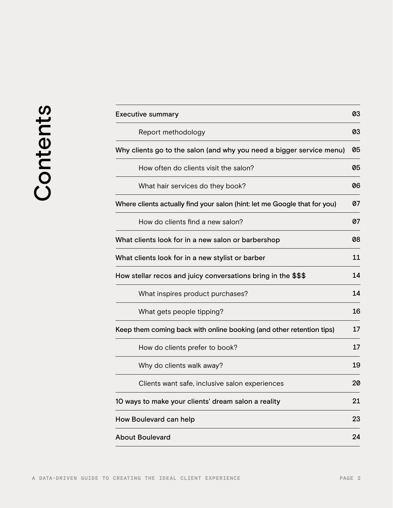|          | <b>Executive summary</b>                                                  |    |
|----------|---------------------------------------------------------------------------|----|
| Contents | Report methodology                                                        | 03 |
|          | Why clients go to the salon (and why you need a bigger service menu)      | 05 |
|          | How often do clients visit the salon?                                     | 05 |
|          | What hair services do they book?                                          | 06 |
|          | Where clients actually find your salon (hint: let me Google that for you) | 07 |
|          | How do clients find a new salon?                                          | 07 |
|          | What clients look for in a new salon or barbershop                        |    |
|          | What clients look for in a new stylist or barber                          | 11 |
|          | How stellar recos and juicy conversations bring in the \$\$\$             | 14 |
|          | What inspires product purchases?                                          | 14 |
|          | What gets people tipping?                                                 | 16 |
|          | Keep them coming back with online booking (and other retention tips)      | 17 |
|          | How do clients prefer to book?                                            | 17 |
|          | Why do clients walk away?                                                 | 19 |
|          | Clients want safe, inclusive salon experiences                            | 20 |
|          | 10 ways to make your clients' dream salon a reality                       | 21 |
|          | How Boulevard can help                                                    | 23 |
|          | <b>About Boulevard</b>                                                    | 24 |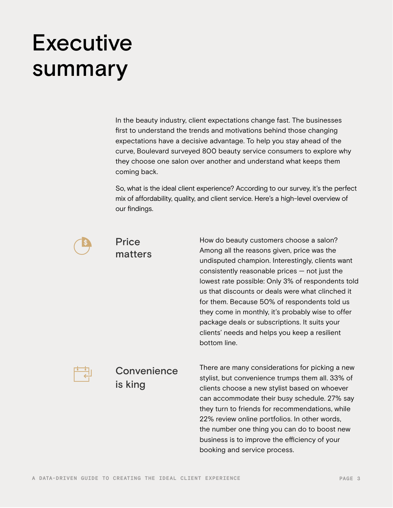# **Executive** summary

In the beauty industry, client expectations change fast. The businesses first to understand the trends and motivations behind those changing expectations have a decisive advantage. To help you stay ahead of the curve, Boulevard surveyed 800 beauty service consumers to explore why they choose one salon over another and understand what keeps them coming back.

So, what is the ideal client experience? According to our survey, it's the perfect mix of affordability, quality, and client service. Here's a high-level overview of our findings.



### **Price** matters

How do beauty customers choose a salon? Among all the reasons given, price was the undisputed champion. Interestingly, clients want consistently reasonable prices — not just the lowest rate possible: Only 3% of respondents told us that discounts or deals were what clinched it for them. Because 50% of respondents told us they come in monthly, it's probably wise to offer package deals or subscriptions. It suits your clients' needs and helps you keep a resilient bottom line.



# **Convenience** is king

There are many considerations for picking a new stylist, but convenience trumps them all. 33% of clients choose a new stylist based on whoever can accommodate their busy schedule. 27% say they turn to friends for recommendations, while 22% review online portfolios. In other words, the number one thing you can do to boost new business is to improve the efficiency of your booking and service process.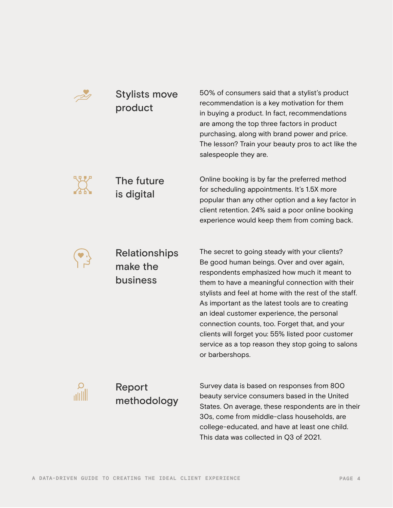

# Stylists move product

50% of consumers said that a stylist's product recommendation is a key motivation for them in buying a product. In fact, recommendations are among the top three factors in product purchasing, along with brand power and price. The lesson? Train your beauty pros to act like the salespeople they are.



## The future is digital

Online booking is by far the preferred method for scheduling appointments. It's 1.5X more popular than any other option and a key factor in client retention. 24% said a poor online booking experience would keep them from coming back.



# Relationships make the business

The secret to going steady with your clients? Be good human beings. Over and over again, respondents emphasized how much it meant to them to have a meaningful connection with their stylists and feel at home with the rest of the staff. As important as the latest tools are to creating an ideal customer experience, the personal connection counts, too. Forget that, and your clients will forget you: 55% listed poor customer service as a top reason they stop going to salons or barbershops.



Report methodology

Survey data is based on responses from 800 beauty service consumers based in the United States. On average, these respondents are in their 30s, come from middle-class households, are college-educated, and have at least one child. This data was collected in Q3 of 2021.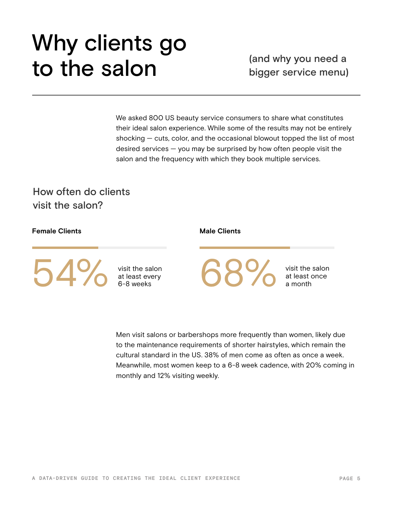# Why clients go to the salon (and why you need a<br>bigger service menul

We asked 800 US beauty service consumers to share what constitutes their ideal salon experience. While some of the results may not be entirely shocking — cuts, color, and the occasional blowout topped the list of most desired services — you may be surprised by how often people visit the salon and the frequency with which they book multiple services.

How often do clients visit the salon?

### **Female Clients**

 $54%$ 

visit the salon

#### **Male Clients**

68%

visit the salon

Men visit salons or barbershops more frequently than women, likely due to the maintenance requirements of shorter hairstyles, which remain the cultural standard in the US. 38% of men come as often as once a week. Meanwhile, most women keep to a 6-8 week cadence, with 20% coming in monthly and 12% visiting weekly.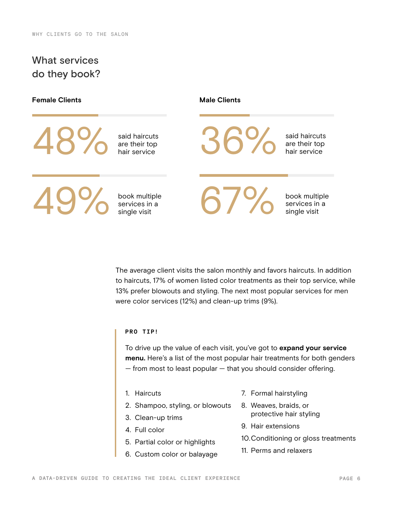# What services do they book?

### **Female Clients Male Clients**

said haircuts<br>are their top A8% said haircuts<br>are their top<br>hair service

book multiple

19% book multiple<br>services in a<br>single visit

said haircuts<br>are their top 36% said haircuts<br>are their top<br>hair service

services in a 67 Martin Services in a 67 Martin Services in a

book multiple

The average client visits the salon monthly and favors haircuts. In addition to haircuts, 17% of women listed color treatments as their top service, while 13% prefer blowouts and styling. The next most popular services for men were color services (12%) and clean-up trims (9%).

#### **PRO TIP!**

To drive up the value of each visit, you've got to **expand your service menu.** Here's a list of the most popular hair treatments for both genders  $-$  from most to least popular  $-$  that you should consider offering.

- 1. Haircuts
- 2. Shampoo, styling, or blowouts
- 3. Clean-up trims
- 4. Full color
- 5. Partial color or highlights
- 6. Custom color or balayage
- 7. Formal hairstyling
- 8. Weaves, braids, or protective hair styling
- 9. Hair extensions
- 10.Conditioning or gloss treatments
- 11. Perms and relaxers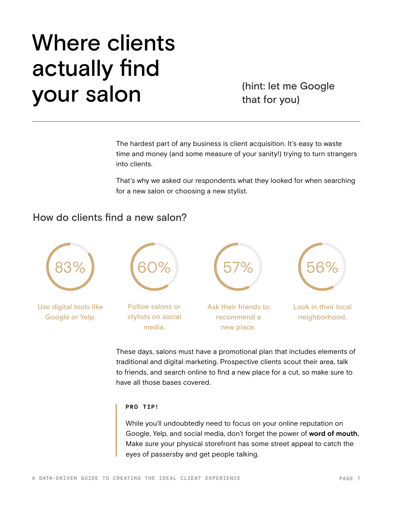# Where clients actually find your salon (hint: let me Google

that for you)

The hardest part of any business is client acquisition. It's easy to waste time and money (and some measure of your sanity!) trying to turn strangers into clients.

That's why we asked our respondents what they looked for when searching for a new salon or choosing a new stylist.

# How do clients find a new salon?



These days, salons must have a promotional plan that includes elements of traditional and digital marketing. Prospective clients scout their area, talk to friends, and search online to find a new place for a cut, so make sure to have all those bases covered.

#### **PRO TIP!**

While you'll undoubtedly need to focus on your online reputation on Google, Yelp, and social media, don't forget the power of **word of mouth.** Make sure your physical storefront has some street appeal to catch the eyes of passersby and get people talking.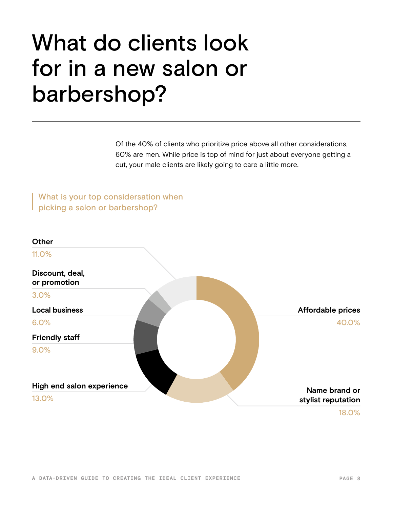# What do clients look for in a new salon or barbershop?

Of the 40% of clients who prioritize price above all other considerations, 60% are men. While price is top of mind for just about everyone getting a cut, your male clients are likely going to care a little more.

What is your top considersation when picking a salon or barbershop?

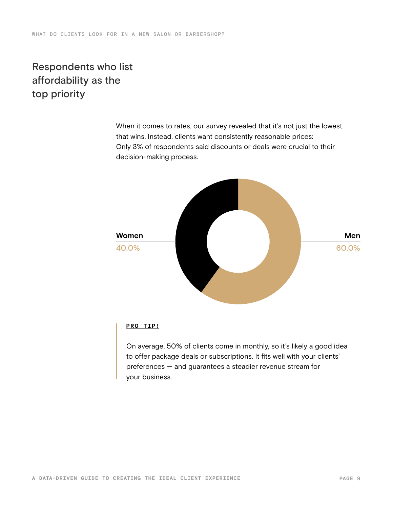# Respondents who list affordability as the top priority

When it comes to rates, our survey revealed that it's not just the lowest that wins. Instead, clients want consistently reasonable prices: Only 3% of respondents said discounts or deals were crucial to their decision-making process.



#### **PRO TIP!**

On average, 50% of clients come in monthly, so it's likely a good idea to offer package deals or subscriptions. It fits well with your clients' preferences — and guarantees a steadier revenue stream for your business.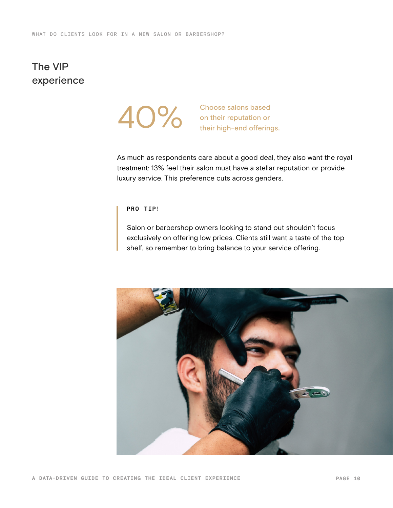# The VIP experience



AO% Choose salons based<br>
on their reputation or<br>
their high-end offerings.

As much as respondents care about a good deal, they also want the royal treatment: 13% feel their salon must have a stellar reputation or provide luxury service. This preference cuts across genders.

#### **PRO TIP!**

Salon or barbershop owners looking to stand out shouldn't focus exclusively on offering low prices. Clients still want a taste of the top shelf, so remember to bring balance to your service offering.

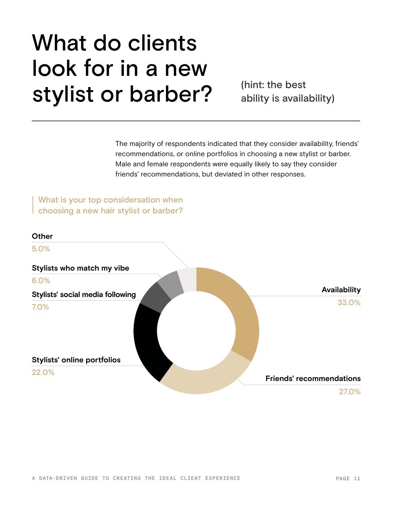# What do clients look for in a new **stylist or barber?** (hint: the best

ability is availability)

The majority of respondents indicated that they consider availability, friends' recommendations, or online portfolios in choosing a new stylist or barber. Male and female respondents were equally likely to say they consider friends' recommendations, but deviated in other responses.

What is your top considersation when choosing a new hair stylist or barber?

# **Other Stylists who match my vibe Stylists' social media following Stylists' online portfolios** 5.0% 6.0% 7.0% 22.0% **Availability Friends' recommendations** 33.0% 27.0%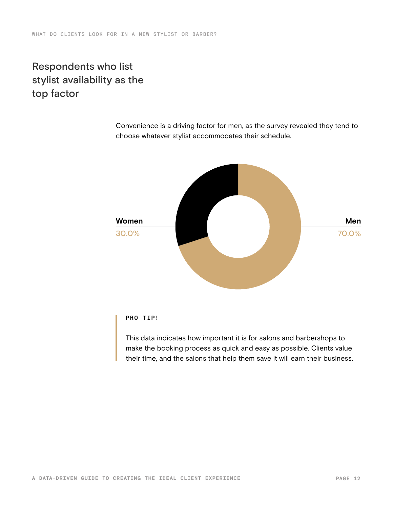# Respondents who list stylist availability as the top factor

Convenience is a driving factor for men, as the survey revealed they tend to choose whatever stylist accommodates their schedule.



### **PRO TIP!**

This data indicates how important it is for salons and barbershops to make the booking process as quick and easy as possible. Clients value their time, and the salons that help them save it will earn their business.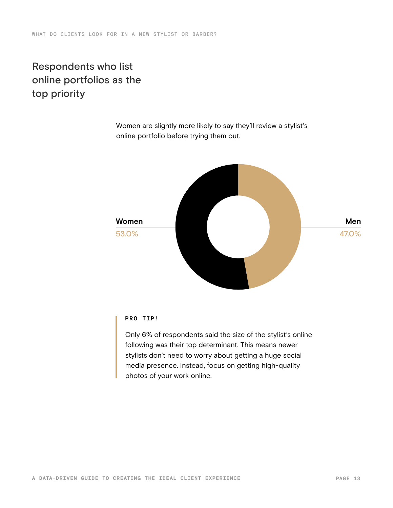# Respondents who list online portfolios as the top priority

Women are slightly more likely to say they'll review a stylist's online portfolio before trying them out.



#### **PRO TIP!**

Only 6% of respondents said the size of the stylist's online following was their top determinant. This means newer stylists don't need to worry about getting a huge social media presence. Instead, focus on getting high-quality photos of your work online.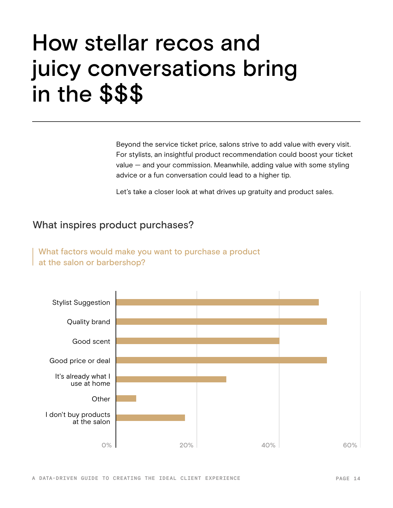# How stellar recos and juicy conversations bring in the \$\$\$

Beyond the service ticket price, salons strive to add value with every visit. For stylists, an insightful product recommendation could boost your ticket value — and your commission. Meanwhile, adding value with some styling advice or a fun conversation could lead to a higher tip.

Let's take a closer look at what drives up gratuity and product sales.

### What inspires product purchases?

What factors would make you want to purchase a product at the salon or barbershop?

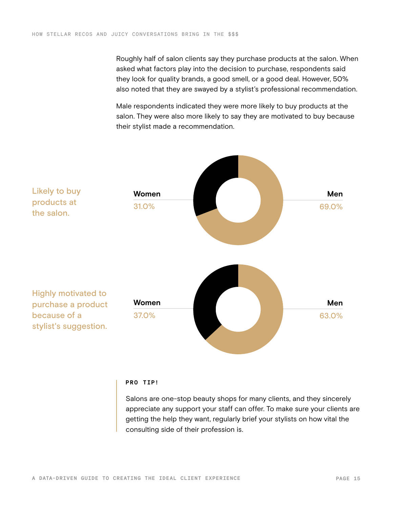Roughly half of salon clients say they purchase products at the salon. When asked what factors play into the decision to purchase, respondents said they look for quality brands, a good smell, or a good deal. However, 50% also noted that they are swayed by a stylist's professional recommendation.

Male respondents indicated they were more likely to buy products at the salon. They were also more likely to say they are motivated to buy because their stylist made a recommendation.



#### **PRO TIP!**

Salons are one-stop beauty shops for many clients, and they sincerely appreciate any support your staff can offer. To make sure your clients are getting the help they want, regularly brief your stylists on how vital the consulting side of their profession is.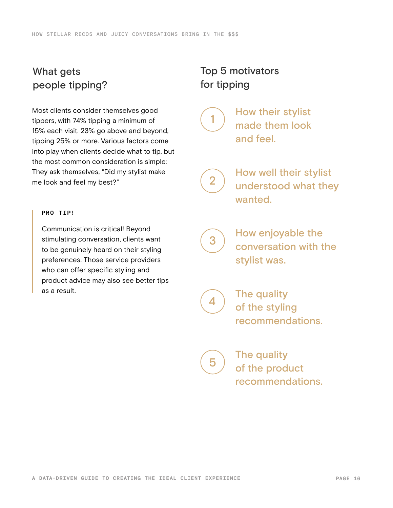# What gets people tipping?

Most clients consider themselves good tippers, with 74% tipping a minimum of 15% each visit. 23% go above and beyond, tipping 25% or more. Various factors come into play when clients decide what to tip, but the most common consideration is simple: They ask themselves, "Did my stylist make me look and feel my best?"

#### **PRO TIP!**

Communication is critical! Beyond stimulating conversation, clients want to be genuinely heard on their styling preferences. Those service providers who can offer specific styling and product advice may also see better tips as a result.

# Top 5 motivators for tipping



How their stylist made them look and feel.

2

How well their stylist understood what they wanted.

3

4

5

How enjoyable the conversation with the stylist was.

The quality of the styling recommendations.

> The quality of the product

> recommendations.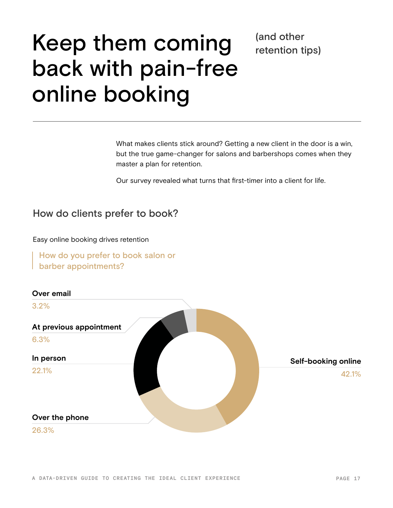# Keep them coming back with pain-free online booking

What makes clients stick around? Getting a new client in the door is a win, but the true game-changer for salons and barbershops comes when they master a plan for retention.

(and other

retention tips)

Our survey revealed what turns that first-timer into a client for life.

### How do clients prefer to book?

Easy online booking drives retention

How do you prefer to book salon or barber appointments?

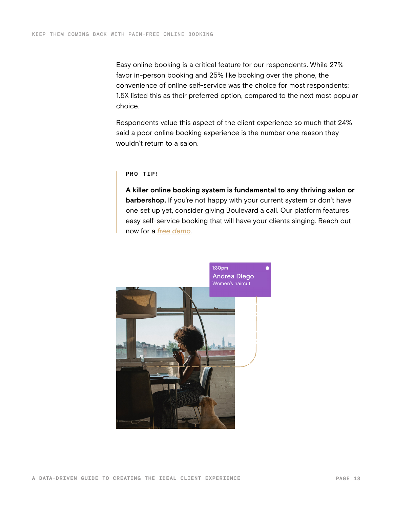Easy online booking is a critical feature for our respondents. While 27% favor in-person booking and 25% like booking over the phone, the convenience of online self-service was the choice for most respondents: 1.5X listed this as their preferred option, compared to the next most popular choice.

Respondents value this aspect of the client experience so much that 24% said a poor online booking experience is the number one reason they wouldn't return to a salon.

#### **PRO TIP!**

**A killer online booking system is fundamental to any thriving salon or barbershop.** If you're not happy with your current system or don't have one set up yet, consider giving Boulevard a call. Our platform features easy self-service booking that will have your clients singing. Reach out now for a *[free demo](https://www.joinblvd.com/get-a-demo?utm_source=content-lead-gen&utm_medium=gated-content&utm_campaign=customer-survey-report-2022)*.

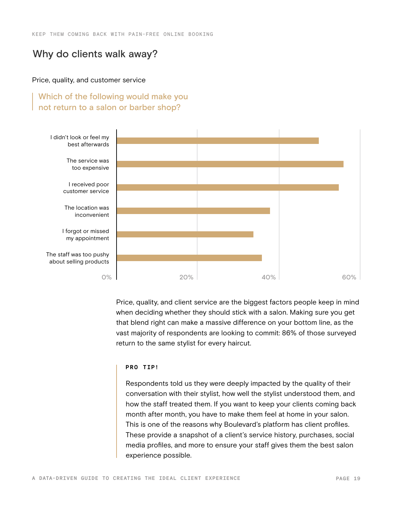### Why do clients walk away?

#### Price, quality, and customer service

### Which of the following would make you not return to a salon or barber shop?



Price, quality, and client service are the biggest factors people keep in mind when deciding whether they should stick with a salon. Making sure you get that blend right can make a massive difference on your bottom line, as the vast majority of respondents are looking to commit: 86% of those surveyed return to the same stylist for every haircut.

#### **PRO TIP!**

Respondents told us they were deeply impacted by the quality of their conversation with their stylist, how well the stylist understood them, and how the staff treated them. If you want to keep your clients coming back month after month, you have to make them feel at home in your salon. This is one of the reasons why Boulevard's platform has client profiles. These provide a snapshot of a client's service history, purchases, social media profiles, and more to ensure your staff gives them the best salon experience possible.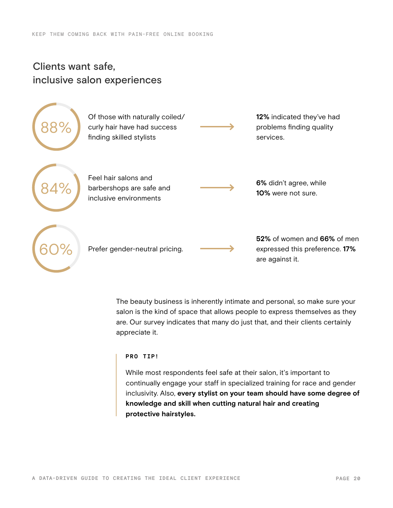# Clients want safe, inclusive salon experiences



The beauty business is inherently intimate and personal, so make sure your salon is the kind of space that allows people to express themselves as they are. Our survey indicates that many do just that, and their clients certainly appreciate it.

#### **PRO TIP!**

While most respondents feel safe at their salon, it's important to continually engage your staff in specialized training for race and gender inclusivity. Also, **every stylist on your team should have some degree of knowledge and skill when cutting natural hair and creating protective hairstyles.**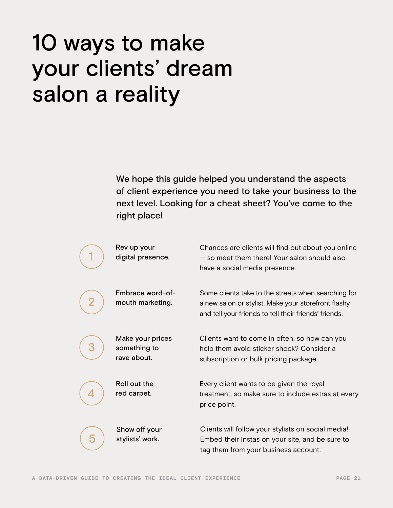# 10 ways to make your clients' dream salon a reality

We hope this guide helped you understand the aspects of client experience you need to take your business to the next level. Looking for a cheat sheet? You've come to the right place!

|                | Rev up your<br>digital presence.                | Chances are clients will find out about you online<br>- so meet them there! Your salon should also<br>have a social media presence.                                 |
|----------------|-------------------------------------------------|---------------------------------------------------------------------------------------------------------------------------------------------------------------------|
| $\overline{2}$ | Embrace word-of-<br>mouth marketing.            | Some clients take to the streets when searching for<br>a new salon or stylist. Make your storefront flashy<br>and tell your friends to tell their friends' friends. |
| З              | Make your prices<br>something to<br>rave about. | Clients want to come in often, so how can you<br>help them avoid sticker shock? Consider a<br>subscription or bulk pricing package.                                 |
|                | Roll out the<br>red carpet.                     | Every client wants to be given the royal<br>treatment, so make sure to include extras at every<br>price point.                                                      |
| 5              | Show off your<br>stylists' work.                | Clients will follow your stylists on social media!<br>Embed their Instas on your site, and be sure to<br>tag them from your business account.                       |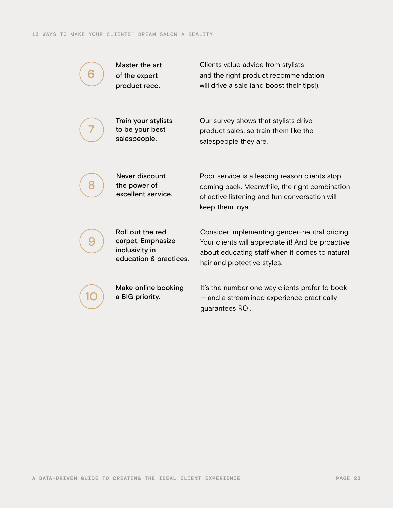

7

Master the art of the expert product reco.

Clients value advice from stylists and the right product recommendation will drive a sale (and boost their tips!).

Train your stylists to be your best salespeople.

Our survey shows that stylists drive product sales, so train them like the salespeople they are.



Never discount the power of excellent service. Poor service is a leading reason clients stop coming back. Meanwhile, the right combination of active listening and fun conversation will keep them loyal.



10

Roll out the red carpet. Emphasize inclusivity in education & practices.

Make online booking a BIG priority.

Consider implementing gender-neutral pricing. Your clients will appreciate it! And be proactive about educating staff when it comes to natural hair and protective styles.

It's the number one way clients prefer to book — and a streamlined experience practically guarantees ROI.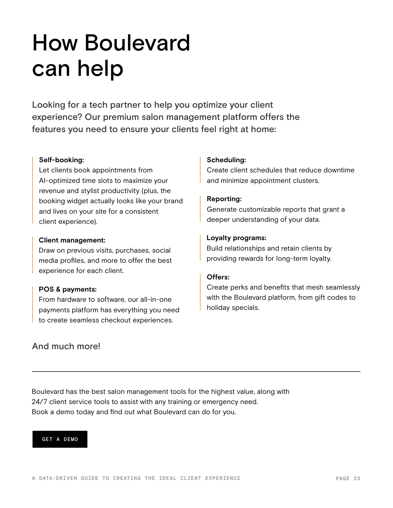# How Boulevard can help

Looking for a tech partner to help you optimize your client experience? Our premium salon management platform offers the features you need to ensure your clients feel right at home:

#### **Self-booking:**

Let clients book appointments from AI-optimized time slots to maximize your revenue and stylist productivity (plus, the booking widget actually looks like your brand and lives on your site for a consistent client experience).

#### **Client management:**

Draw on previous visits, purchases, social media profiles, and more to offer the best experience for each client.

#### **POS & payments:**

From hardware to software, our all-in-one payments platform has everything you need to create seamless checkout experiences.

### And much more!

#### **Scheduling:**

Create client schedules that reduce downtime and minimize appointment clusters.

#### **Reporting:**

Generate customizable reports that grant a deeper understanding of your data.

#### **Loyalty programs:**

Build relationships and retain clients by providing rewards for long-term loyalty.

### **Offers:**

Create perks and benefits that mesh seamlessly with the Boulevard platform, from gift codes to holiday specials.

Boulevard has the best salon management tools for the highest value, along with 24/7 client service tools to assist with any training or emergency need. Book a demo today and find out what Boulevard can do for you.

#### [GET A DEMO](https://www.joinblvd.com/get-a-demo?utm_source=content-lead-gen&utm_medium=gated-content&utm_campaign=customer-survey-report-2022)